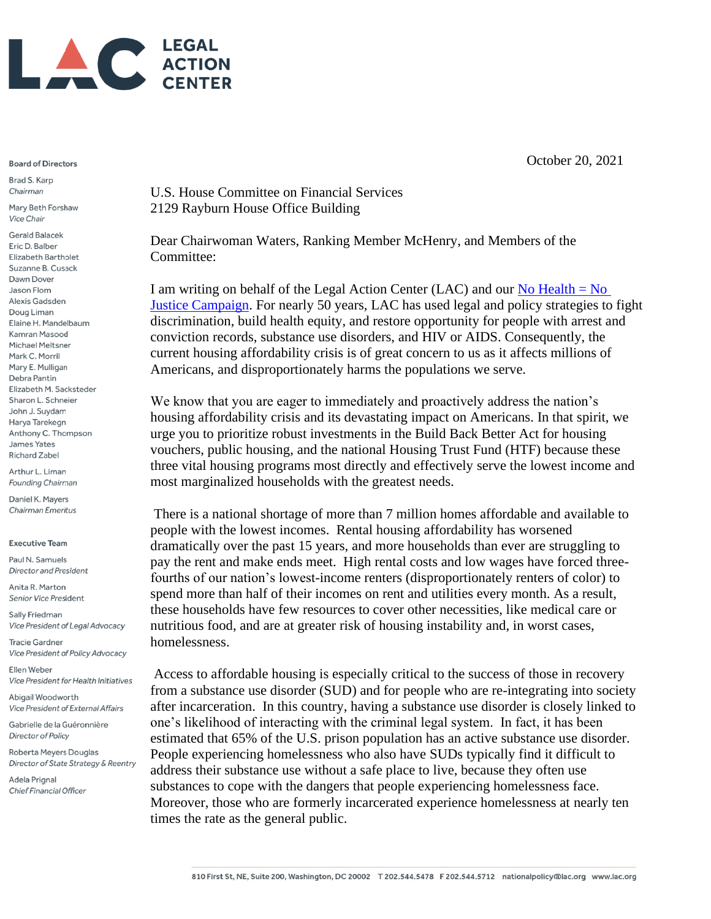

## **Board of Directors**

Brad S. Karp Chairman

Mary Beth Forshaw **Vice Chair** 

**Gerald Balacek** Eric D. Balber **Elizabeth Bartholet** Suzanne B. Cusack Dawn Dover Jason Flom Alexis Gadsden Doug Liman Elaine H. Mandelbaum Kamran Masood Michael Meltsner Mark C. Morril Mary E. Mulligan Debra Pantin Elizabeth M. Sacksteder Sharon L. Schneier John J. Suydam Harya Tarekegn Anthony C. Thompson James Yates **Richard Zabel** 

Arthur L. Liman Founding Chairman

Daniel K. Mayers Chairman Emeritus

## **Executive Team**

Paul N. Samuels **Director and President** 

Anita R. Marton Senior Vice President

Sally Friedman Vice President of Legal Advocacy

**Tracie Gardner** Vice President of Policy Advocacy

Ellen Weber Vice President for Health Initiatives

Abigail Woodworth Vice President of External Affairs

Gabrielle de la Guéronnière Director of Policy

Roberta Meyers Douglas Director of State Strategy & Reentry

Adela Prignal Chief Financial Officer October 20, 2021

U.S. House Committee on Financial Services 2129 Rayburn House Office Building

Dear Chairwoman Waters, Ranking Member McHenry, and Members of the Committee:

I am writing on behalf of the Legal Action Center (LAC) and our No Health  $=$  No [Justice Campaign.](https://www.lac.org/major-project/no-health-no-justice) For nearly 50 years, LAC has used legal and policy strategies to fight discrimination, build health equity, and restore opportunity for people with arrest and conviction records, substance use disorders, and HIV or AIDS. Consequently, the current housing affordability crisis is of great concern to us as it affects millions of Americans, and disproportionately harms the populations we serve.

We know that you are eager to immediately and proactively address the nation's housing affordability crisis and its devastating impact on Americans. In that spirit, we urge you to prioritize robust investments in the Build Back Better Act for housing vouchers, public housing, and the national Housing Trust Fund (HTF) because these three vital housing programs most directly and effectively serve the lowest income and most marginalized households with the greatest needs.

There is a national shortage of more than 7 million homes affordable and available to people with the lowest incomes. Rental housing affordability has worsened dramatically over the past 15 years, and more households than ever are struggling to pay the rent and make ends meet. High rental costs and low wages have forced threefourths of our nation's lowest-income renters (disproportionately renters of color) to spend more than half of their incomes on rent and utilities every month. As a result, these households have few resources to cover other necessities, like medical care or nutritious food, and are at greater risk of housing instability and, in worst cases, homelessness.

Access to affordable housing is especially critical to the success of those in recovery from a substance use disorder (SUD) and for people who are re-integrating into society after incarceration. In this country, having a substance use disorder is closely linked to one's likelihood of interacting with the criminal legal system. In fact, it has been estimated that 65% of the U.S. prison population has an active substance use disorder. People experiencing homelessness who also have SUDs typically find it difficult to address their substance use without a safe place to live, because they often use substances to cope with the dangers that people experiencing homelessness face. Moreover, those who are formerly incarcerated experience homelessness at nearly ten times the rate as the general public.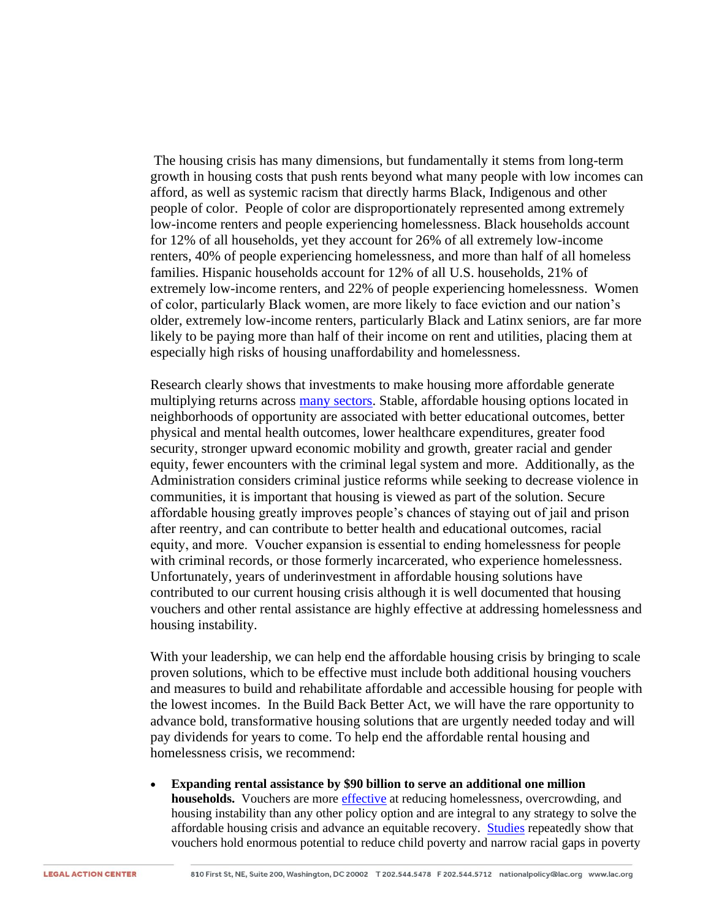The housing crisis has many dimensions, but fundamentally it stems from long-term growth in housing costs that push rents beyond what many people with low incomes can afford, as well as systemic racism that directly harms Black, Indigenous and other people of color. People of color are disproportionately represented among extremely low-income renters and people experiencing homelessness. Black households account for 12% of all households, yet they account for 26% of all extremely low-income renters, 40% of people experiencing homelessness, and more than half of all homeless families. Hispanic households account for 12% of all U.S. households, 21% of extremely low-income renters, and 22% of people experiencing homelessness. Women of color, particularly Black women, are more likely to face eviction and our nation's older, extremely low-income renters, particularly Black and Latinx seniors, are far more likely to be paying more than half of their income on rent and utilities, placing them at especially high risks of housing unaffordability and homelessness.

Research clearly shows that investments to make housing more affordable generate multiplying returns across [many sectors.](https://www.opportunityhome.org/related-sectors/) Stable, affordable housing options located in neighborhoods of opportunity are associated with better educational outcomes, better physical and mental health outcomes, lower healthcare expenditures, greater food security, stronger upward economic mobility and growth, greater racial and gender equity, fewer encounters with the criminal legal system and more. Additionally, as the Administration considers criminal justice reforms while seeking to decrease violence in communities, it is important that housing is viewed as part of the solution. Secure affordable housing greatly improves people's chances of staying out of jail and prison after reentry, and can contribute to better health and educational outcomes, racial equity, and more. Voucher expansion is essential to ending homelessness for people with criminal records, or those formerly incarcerated, who experience homelessness. Unfortunately, years of underinvestment in affordable housing solutions have contributed to our current housing crisis although it is well documented that housing vouchers and other rental assistance are highly effective at addressing homelessness and housing instability.

With your leadership, we can help end the affordable housing crisis by bringing to scale proven solutions, which to be effective must include both additional housing vouchers and measures to build and rehabilitate affordable and accessible housing for people with the lowest incomes. In the Build Back Better Act, we will have the rare opportunity to advance bold, transformative housing solutions that are urgently needed today and will pay dividends for years to come. To help end the affordable rental housing and homelessness crisis, we recommend:

• **Expanding rental assistance by \$90 billion to serve an additional one million households.** Vouchers are more [effective](https://www.cbpp.org/housing-choice-vouchers-sharply-reduced-crowded-housing-homelessness-and-frequent-moves) at reducing homelessness, overcrowding, and housing instability than any other policy option and are integral to any strategy to solve the affordable housing crisis and advance an equitable recovery. [Studies](https://static1.squarespace.com/static/5743308460b5e922a25a6dc7/t/5f7dd00e12dfe51e169a7e83/1602080783936/Housing-Vouchers-Proposal-Poverty-Impacts-CPSP-2020.pdf) repeatedly show that vouchers hold enormous potential to reduce child poverty and narrow racial gaps in poverty